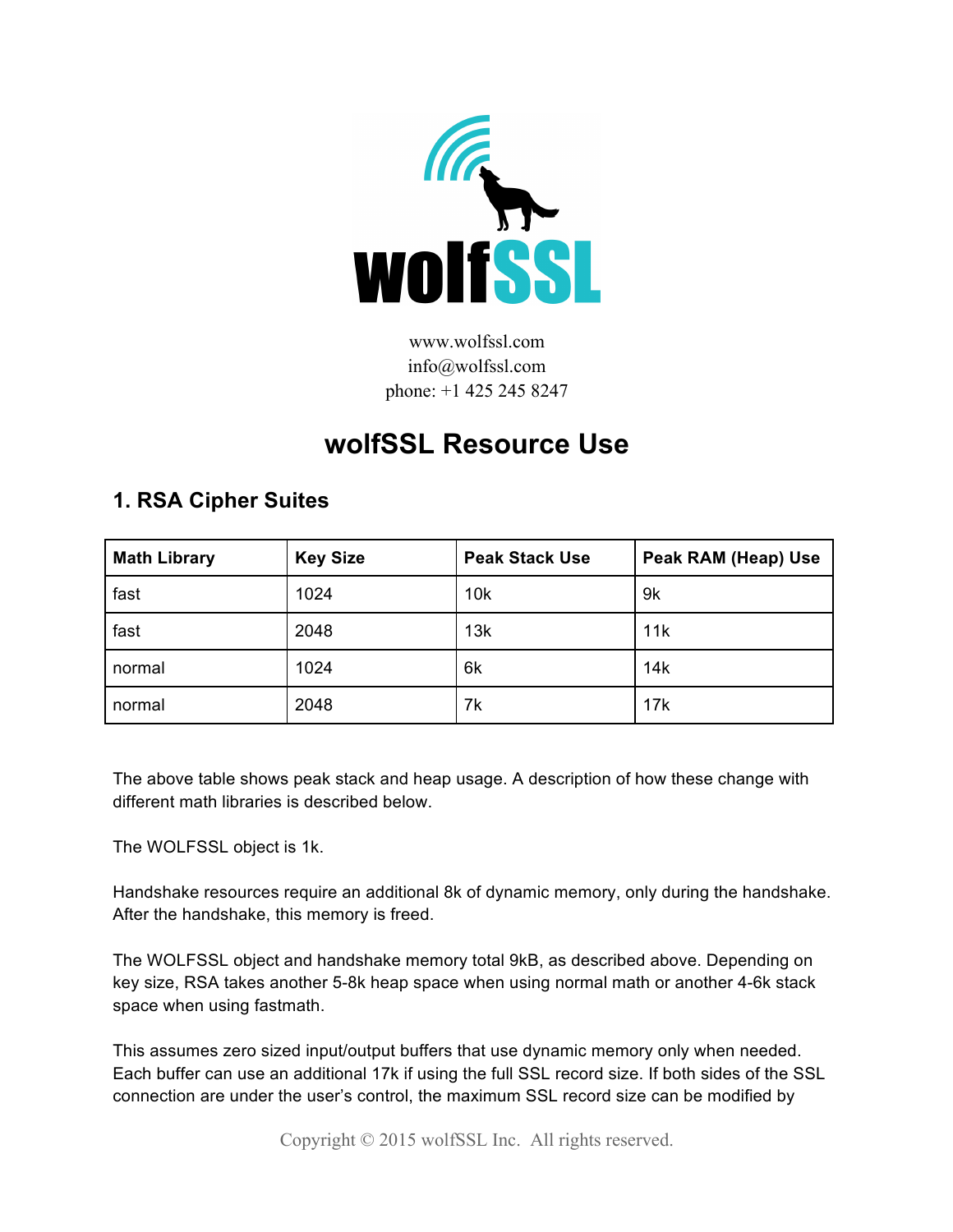

www.wolfssl.com info@wolfssl.com phone: +1 425 245 8247

## **wolfSSL Resource Use**

## **1. RSA Cipher Suites**

| <b>Math Library</b> | <b>Key Size</b> | <b>Peak Stack Use</b> | Peak RAM (Heap) Use |
|---------------------|-----------------|-----------------------|---------------------|
| fast                | 1024            | 10k                   | 9k                  |
| fast                | 2048            | 13k                   | 11k                 |
| normal              | 1024            | 6k                    | 14k                 |
| normal              | 2048            | 7k                    | 17k                 |

The above table shows peak stack and heap usage. A description of how these change with different math libraries is described below.

The WOLFSSL object is 1k.

Handshake resources require an additional 8k of dynamic memory, only during the handshake. After the handshake, this memory is freed.

The WOLFSSL object and handshake memory total 9kB, as described above. Depending on key size, RSA takes another 5-8k heap space when using normal math or another 4-6k stack space when using fastmath.

This assumes zero sized input/output buffers that use dynamic memory only when needed. Each buffer can use an additional 17k if using the full SSL record size. If both sides of the SSL connection are under the user's control, the maximum SSL record size can be modified by

Copyright © 2015 wolfSSL Inc. All rights reserved.